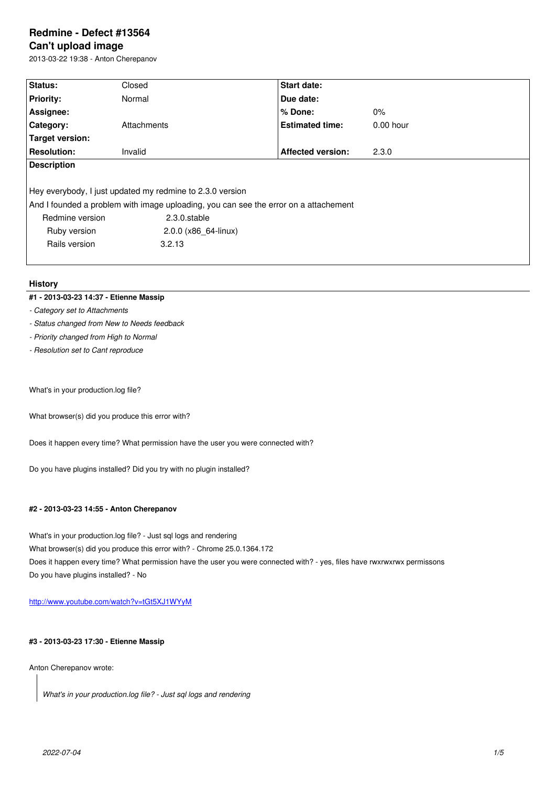#### **Can't upload image**

2013-03-22 19:38 - Anton Cherepanov

| Status:                                                                              | Closed               | <b>Start date:</b>       |             |
|--------------------------------------------------------------------------------------|----------------------|--------------------------|-------------|
| <b>Priority:</b>                                                                     | Normal               | Due date:                |             |
| Assignee:                                                                            |                      | $%$ Done:                | $0\%$       |
| Category:                                                                            | Attachments          | <b>Estimated time:</b>   | $0.00$ hour |
| <b>Target version:</b>                                                               |                      |                          |             |
| <b>Resolution:</b>                                                                   | Invalid              | <b>Affected version:</b> | 2.3.0       |
| <b>Description</b>                                                                   |                      |                          |             |
|                                                                                      |                      |                          |             |
| Hey everybody, I just updated my redmine to 2.3.0 version                            |                      |                          |             |
| And I founded a problem with image uploading, you can see the error on a attachement |                      |                          |             |
| Redmine version                                                                      | 2.3.0.stable         |                          |             |
| Ruby version                                                                         | 2.0.0 (x86 64-linux) |                          |             |
| Rails version                                                                        | 3.2.13               |                          |             |
|                                                                                      |                      |                          |             |

# **History**

# **#1 - 2013-03-23 14:37 - Etienne Massip**

- *Category set to Attachments*
- *Status changed from New to Needs feedback*
- *Priority changed from High to Normal*
- *Resolution set to Cant reproduce*

What's in your production.log file?

What browser(s) did you produce this error with?

Does it happen every time? What permission have the user you were connected with?

Do you have plugins installed? Did you try with no plugin installed?

# **#2 - 2013-03-23 14:55 - Anton Cherepanov**

What's in your production.log file? - Just sql logs and rendering

What browser(s) did you produce this error with? - Chrome 25.0.1364.172

Does it happen every time? What permission have the user you were connected with? - yes, files have rwxrwxrwx permissons Do you have plugins installed? - No

http://www.youtube.com/watch?v=tGt5XJ1WYyM

# **[#3 - 2013-03-23 17:30 - Etienne Massip](http://www.youtube.com/watch?v=tGt5XJ1WYyM)**

Anton Cherepanov wrote:

*What's in your production.log file? - Just sql logs and rendering*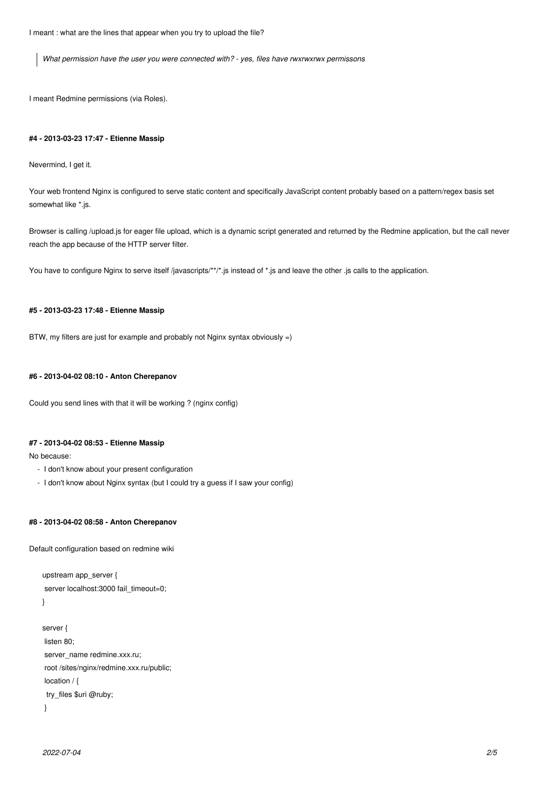I meant : what are the lines that appear when you try to upload the file?

*What permission have the user you were connected with? - yes, files have rwxrwxrwx permissons*

I meant Redmine permissions (via Roles).

#### **#4 - 2013-03-23 17:47 - Etienne Massip**

Nevermind, I get it.

Your web frontend Nginx is configured to serve static content and specifically JavaScript content probably based on a pattern/regex basis set somewhat like \*.js.

Browser is calling /upload.js for eager file upload, which is a dynamic script generated and returned by the Redmine application, but the call never reach the app because of the HTTP server filter.

You have to configure Nginx to serve itself /javascripts/\*\*/\*.js instead of \*.js and leave the other .js calls to the application.

# **#5 - 2013-03-23 17:48 - Etienne Massip**

BTW, my filters are just for example and probably not Nginx syntax obviously =)

### **#6 - 2013-04-02 08:10 - Anton Cherepanov**

Could you send lines with that it will be working ? (nginx config)

# **#7 - 2013-04-02 08:53 - Etienne Massip**

No because:

- I don't know about your present configuration
- I don't know about Nginx syntax (but I could try a guess if I saw your config)

# **#8 - 2013-04-02 08:58 - Anton Cherepanov**

Default configuration based on redmine wiki

```
upstream app_server {
 server localhost:3000 fail_timeout=0;
}
server {
 listen 80;
 server_name redmine.xxx.ru;
```

```
 root /sites/nginx/redmine.xxx.ru/public;
location / {
 try_files $uri @ruby;
 }
```
*2022-07-04 2/5*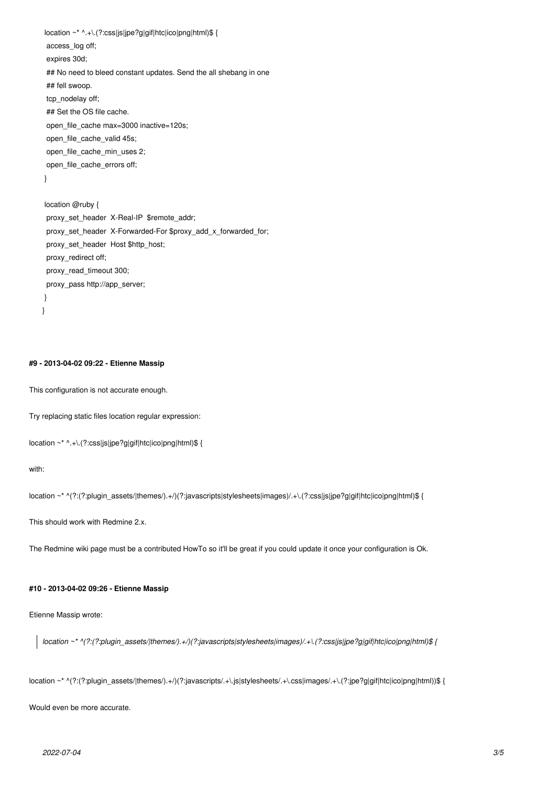```
location ~* ^.+\.(?:css|js|jpe?g|gif|htc|ico|png|html)$ {
  access_log off;
  expires 30d;
 ## No need to bleed constant updates. Send the all shebang in one
  ## fell swoop.
  tcp_nodelay off;
  ## Set the OS file cache.
  open_file_cache max=3000 inactive=120s;
  open_file_cache_valid 45s;
  open_file_cache_min_uses 2;
  open_file_cache_errors off;
  }
  location @ruby {
  proxy_set_header X-Real-IP $remote_addr;
  proxy_set_header X-Forwarded-For $proxy_add_x_forwarded_for;
  proxy_set_header Host $http_host;
  proxy_redirect off;
  proxy_read_timeout 300;
  proxy_pass http://app_server;
 }
}
```
# **#9 - 2013-04-02 09:22 - Etienne Massip**

This configuration is not accurate enough.

Try replacing static files location regular expression:

```
location ~* ^.+\.(?:css|js|jpe?g|gif|htc|ico|png|html)$ {
```
with:

```
location ~* ^(?:(?:plugin_assets/|themes/).+/)(?:javascripts|stylesheets|images)/.+\.(?:css|js|jpe?g|gif|htc|ico|png|html)$ {
```
This should work with Redmine 2.x.

The Redmine wiki page must be a contributed HowTo so it'll be great if you could update it once your configuration is Ok.

# **#10 - 2013-04-02 09:26 - Etienne Massip**

Etienne Massip wrote:

*location ~\* ^(?:(?:plugin\_assets/|themes/).+/)(?:javascripts|stylesheets|images)/.+\.(?:css|js|jpe?g|gif|htc|ico|png|html)\$ {*

location ~\* ^(?:(?:plugin\_assets/|themes/).+/)(?:javascripts/.+\.js|stylesheets/.+\.css|images/.+\.(?:jpe?g|gif|htc|ico|png|html))\$ {

Would even be more accurate.